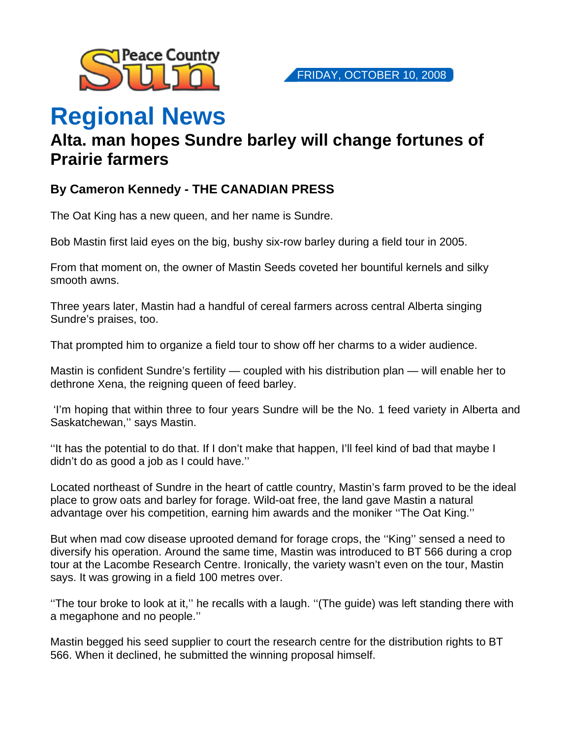

## **Regional News**

## **Alta. man hopes Sundre barley will change fortunes of Prairie farmers**

## **By Cameron Kennedy - THE CANADIAN PRESS**

The Oat King has a new queen, and her name is Sundre.

Bob Mastin first laid eyes on the big, bushy six-row barley during a field tour in 2005.

From that moment on, the owner of Mastin Seeds coveted her bountiful kernels and silky smooth awns.

Three years later, Mastin had a handful of cereal farmers across central Alberta singing Sundre's praises, too.

That prompted him to organize a field tour to show off her charms to a wider audience.

Mastin is confident Sundre's fertility — coupled with his distribution plan — will enable her to dethrone Xena, the reigning queen of feed barley.

 'I'm hoping that within three to four years Sundre will be the No. 1 feed variety in Alberta and Saskatchewan,'' says Mastin.

''It has the potential to do that. If I don't make that happen, I'll feel kind of bad that maybe I didn't do as good a job as I could have.''

Located northeast of Sundre in the heart of cattle country, Mastin's farm proved to be the ideal place to grow oats and barley for forage. Wild-oat free, the land gave Mastin a natural advantage over his competition, earning him awards and the moniker ''The Oat King.''

But when mad cow disease uprooted demand for forage crops, the ''King'' sensed a need to diversify his operation. Around the same time, Mastin was introduced to BT 566 during a crop tour at the Lacombe Research Centre. Ironically, the variety wasn't even on the tour, Mastin says. It was growing in a field 100 metres over.

''The tour broke to look at it,'' he recalls with a laugh. ''(The guide) was left standing there with a megaphone and no people.''

Mastin begged his seed supplier to court the research centre for the distribution rights to BT 566. When it declined, he submitted the winning proposal himself.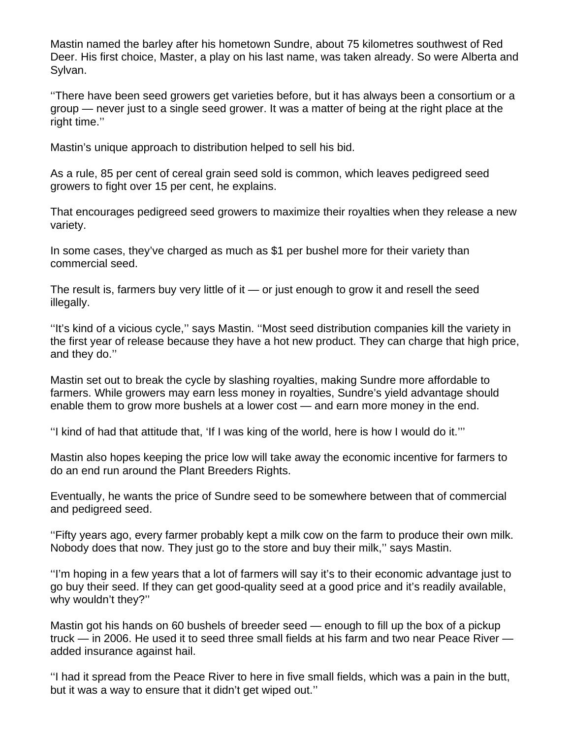Mastin named the barley after his hometown Sundre, about 75 kilometres southwest of Red Deer. His first choice, Master, a play on his last name, was taken already. So were Alberta and Sylvan.

''There have been seed growers get varieties before, but it has always been a consortium or a group — never just to a single seed grower. It was a matter of being at the right place at the right time.''

Mastin's unique approach to distribution helped to sell his bid.

As a rule, 85 per cent of cereal grain seed sold is common, which leaves pedigreed seed growers to fight over 15 per cent, he explains.

That encourages pedigreed seed growers to maximize their royalties when they release a new variety.

In some cases, they've charged as much as \$1 per bushel more for their variety than commercial seed.

The result is, farmers buy very little of it  $-$  or just enough to grow it and resell the seed illegally.

''It's kind of a vicious cycle,'' says Mastin. ''Most seed distribution companies kill the variety in the first year of release because they have a hot new product. They can charge that high price, and they do.''

Mastin set out to break the cycle by slashing royalties, making Sundre more affordable to farmers. While growers may earn less money in royalties, Sundre's yield advantage should enable them to grow more bushels at a lower cost — and earn more money in the end.

''I kind of had that attitude that, 'If I was king of the world, here is how I would do it.'''

Mastin also hopes keeping the price low will take away the economic incentive for farmers to do an end run around the Plant Breeders Rights.

Eventually, he wants the price of Sundre seed to be somewhere between that of commercial and pedigreed seed.

''Fifty years ago, every farmer probably kept a milk cow on the farm to produce their own milk. Nobody does that now. They just go to the store and buy their milk,'' says Mastin.

''I'm hoping in a few years that a lot of farmers will say it's to their economic advantage just to go buy their seed. If they can get good-quality seed at a good price and it's readily available, why wouldn't they?''

Mastin got his hands on 60 bushels of breeder seed — enough to fill up the box of a pickup truck — in 2006. He used it to seed three small fields at his farm and two near Peace River added insurance against hail.

''I had it spread from the Peace River to here in five small fields, which was a pain in the butt, but it was a way to ensure that it didn't get wiped out.''